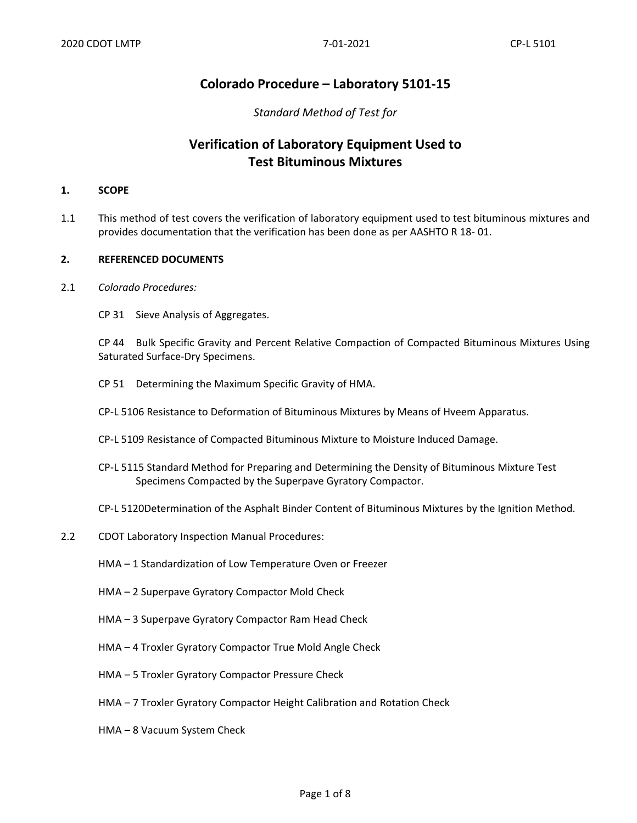## **Colorado Procedure – Laboratory 5101-15**

#### *Standard Method of Test for*

## **Verification of Laboratory Equipment Used to Test Bituminous Mixtures**

#### **1. SCOPE**

1.1 This method of test covers the verification of laboratory equipment used to test bituminous mixtures and provides documentation that the verification has been done as per AASHTO R 18- 01.

#### **2. REFERENCED DOCUMENTS**

- 2.1 *Colorado Procedures:*
	- CP 31 Sieve Analysis of Aggregates.

CP 44 Bulk Specific Gravity and Percent Relative Compaction of Compacted Bituminous Mixtures Using Saturated Surface-Dry Specimens.

- CP 51 Determining the Maximum Specific Gravity of HMA.
- CP-L 5106 Resistance to Deformation of Bituminous Mixtures by Means of Hveem Apparatus.
- CP-L 5109 Resistance of Compacted Bituminous Mixture to Moisture Induced Damage.
- CP-L 5115 Standard Method for Preparing and Determining the Density of Bituminous Mixture Test Specimens Compacted by the Superpave Gyratory Compactor.
- CP-L 5120Determination of the Asphalt Binder Content of Bituminous Mixtures by the Ignition Method.
- 2.2 CDOT Laboratory Inspection Manual Procedures:
	- HMA 1 Standardization of Low Temperature Oven or Freezer
	- HMA 2 Superpave Gyratory Compactor Mold Check
	- HMA 3 Superpave Gyratory Compactor Ram Head Check
	- HMA 4 Troxler Gyratory Compactor True Mold Angle Check
	- HMA 5 Troxler Gyratory Compactor Pressure Check
	- HMA 7 Troxler Gyratory Compactor Height Calibration and Rotation Check
	- HMA 8 Vacuum System Check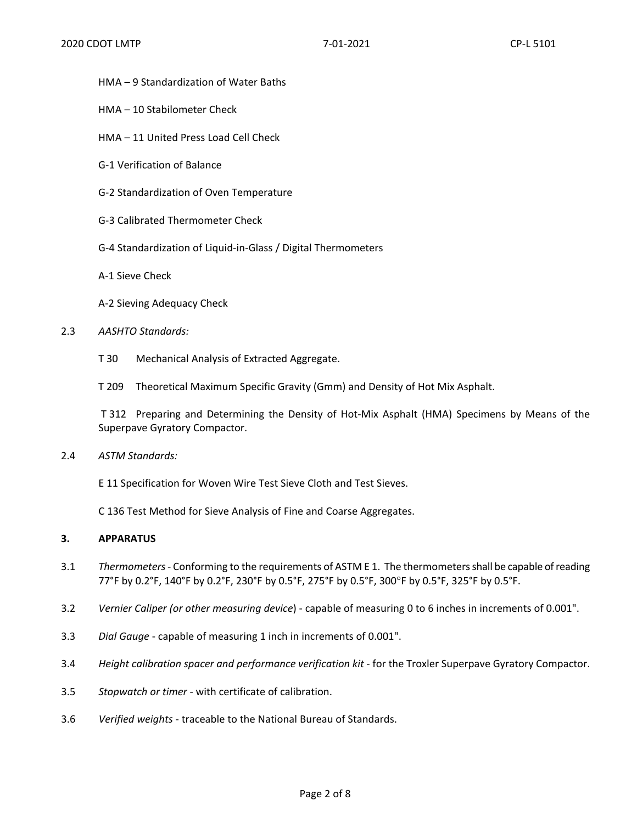- HMA 9 Standardization of Water Baths
- HMA 10 Stabilometer Check
- HMA 11 United Press Load Cell Check
- G-1 Verification of Balance
- G-2 Standardization of Oven Temperature
- G-3 Calibrated Thermometer Check
- G-4 Standardization of Liquid-in-Glass / Digital Thermometers
- A-1 Sieve Check
- A-2 Sieving Adequacy Check
- 2.3 *AASHTO Standards:*
	- T 30 Mechanical Analysis of Extracted Aggregate.
	- T 209 Theoretical Maximum Specific Gravity (Gmm) and Density of Hot Mix Asphalt.

T 312 Preparing and Determining the Density of Hot-Mix Asphalt (HMA) Specimens by Means of the Superpave Gyratory Compactor.

2.4 *ASTM Standards:*

E 11 Specification for Woven Wire Test Sieve Cloth and Test Sieves.

C 136 Test Method for Sieve Analysis of Fine and Coarse Aggregates.

#### **3. APPARATUS**

- 3.1 *Thermometers* Conforming to the requirements of ASTM E 1. The thermometers shall be capable of reading 77°F by 0.2°F, 140°F by 0.2°F, 230°F by 0.5°F, 275°F by 0.5°F, 300°F by 0.5°F, 325°F by 0.5°F.
- 3.2 *Vernier Caliper (or other measuring device*) capable of measuring 0 to 6 inches in increments of 0.001".
- 3.3 *Dial Gauge* capable of measuring 1 inch in increments of 0.001".
- 3.4 *Height calibration spacer and performance verification kit* for the Troxler Superpave Gyratory Compactor.
- 3.5 *Stopwatch or timer* with certificate of calibration.
- 3.6 *Verified weights* traceable to the National Bureau of Standards.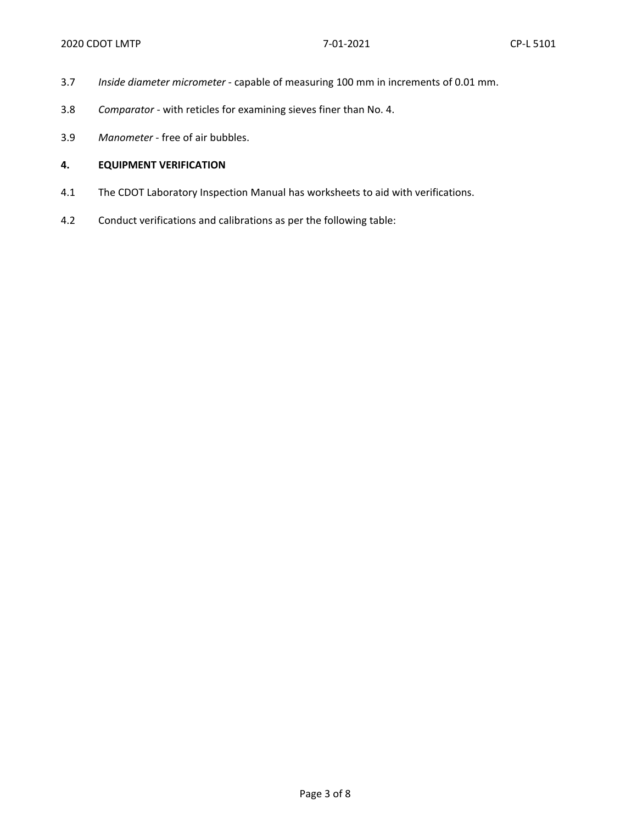- 3.7 *Inside diameter micrometer* capable of measuring 100 mm in increments of 0.01 mm.
- 3.8 *Comparator* with reticles for examining sieves finer than No. 4.
- 3.9 *Manometer* free of air bubbles.

#### **4. EQUIPMENT VERIFICATION**

- 4.1 The CDOT Laboratory Inspection Manual has worksheets to aid with verifications.
- 4.2 Conduct verifications and calibrations as per the following table: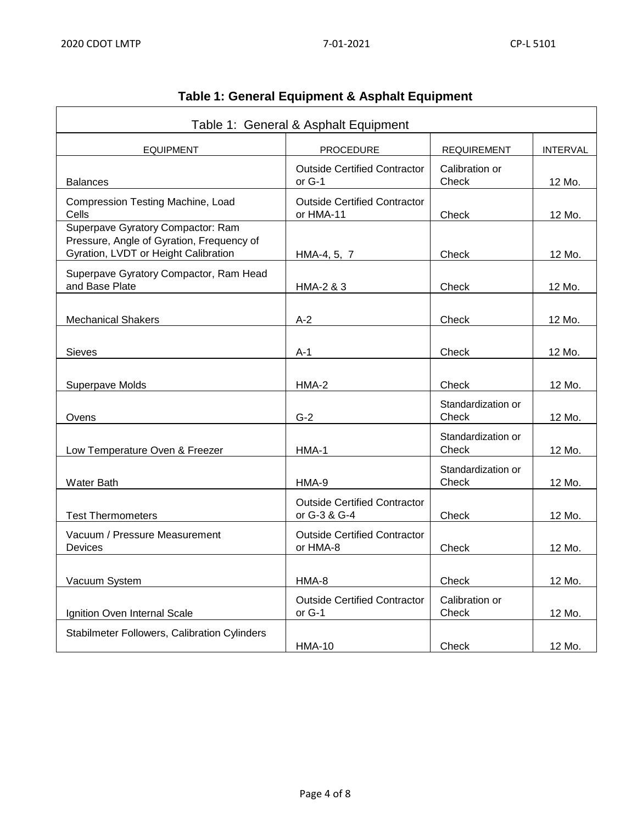| Table 1: General & Asphalt Equipment                                                                                   |                                                     |                             |                 |
|------------------------------------------------------------------------------------------------------------------------|-----------------------------------------------------|-----------------------------|-----------------|
| <b>EQUIPMENT</b>                                                                                                       | <b>PROCEDURE</b>                                    | <b>REQUIREMENT</b>          | <b>INTERVAL</b> |
| <b>Balances</b>                                                                                                        | <b>Outside Certified Contractor</b><br>or G-1       | Calibration or<br>Check     | 12 Mo.          |
| Compression Testing Machine, Load<br>Cells                                                                             | <b>Outside Certified Contractor</b><br>or HMA-11    | Check                       | 12 Mo.          |
| Superpave Gyratory Compactor: Ram<br>Pressure, Angle of Gyration, Frequency of<br>Gyration, LVDT or Height Calibration | HMA-4, 5, 7                                         | Check                       | 12 Mo.          |
| Superpave Gyratory Compactor, Ram Head<br>and Base Plate                                                               | HMA-2 & 3                                           | Check                       | 12 Mo.          |
| <b>Mechanical Shakers</b>                                                                                              | $A-2$                                               | Check                       | 12 Mo.          |
| <b>Sieves</b>                                                                                                          | A-1                                                 | Check                       | 12 Mo.          |
| Superpave Molds                                                                                                        | HMA-2                                               | Check                       | 12 Mo.          |
| Ovens                                                                                                                  | $G-2$                                               | Standardization or<br>Check | 12 Mo.          |
| Low Temperature Oven & Freezer                                                                                         | HMA-1                                               | Standardization or<br>Check | 12 Mo.          |
| <b>Water Bath</b>                                                                                                      | HMA-9                                               | Standardization or<br>Check | 12 Mo.          |
| <b>Test Thermometers</b>                                                                                               | <b>Outside Certified Contractor</b><br>or G-3 & G-4 | Check                       | 12 Mo.          |
| Vacuum / Pressure Measurement<br>Devices                                                                               | <b>Outside Certified Contractor</b><br>or HMA-8     | Check                       | 12 Mo.          |
| Vacuum System                                                                                                          | HMA-8                                               | Check                       | 12 Mo.          |
| Ignition Oven Internal Scale                                                                                           | <b>Outside Certified Contractor</b><br>or G-1       | Calibration or<br>Check     | 12 Mo.          |
| <b>Stabilmeter Followers, Calibration Cylinders</b>                                                                    | <b>HMA-10</b>                                       | Check                       | 12 Mo.          |

# **Table 1: General Equipment & Asphalt Equipment**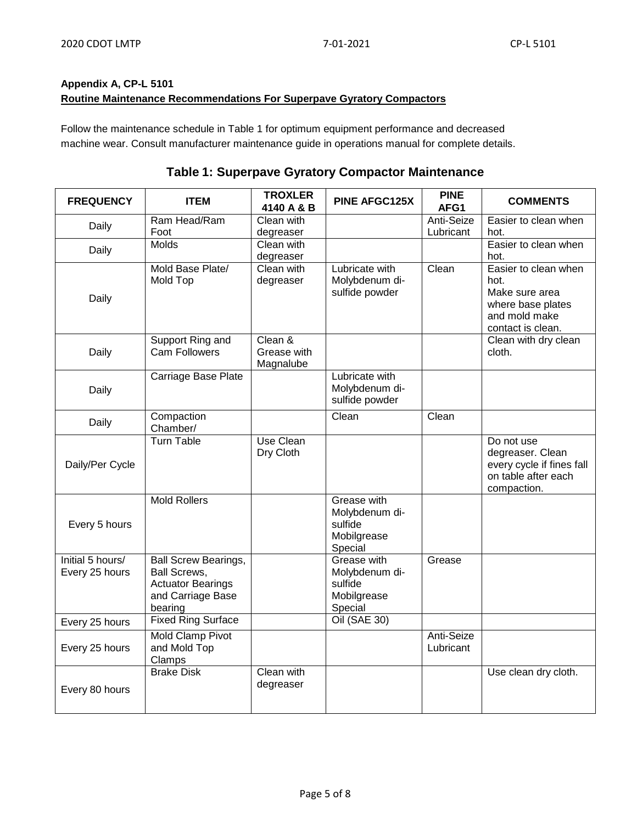### **Appendix A, CP-L 5101 Routine Maintenance Recommendations For Superpave Gyratory Compactors**

Follow the maintenance schedule in Table 1 for optimum equipment performance and decreased machine wear. Consult manufacturer maintenance guide in operations manual for complete details.

## **Table 1: Superpave Gyratory Compactor Maintenance**

| <b>FREQUENCY</b>                   | <b>ITEM</b>                                                                                                    | <b>TROXLER</b><br>4140 A & B        | <b>PINE AFGC125X</b>                                               | <b>PINE</b><br>AFG1     | <b>COMMENTS</b>                                                                                           |
|------------------------------------|----------------------------------------------------------------------------------------------------------------|-------------------------------------|--------------------------------------------------------------------|-------------------------|-----------------------------------------------------------------------------------------------------------|
| Daily                              | Ram Head/Ram<br>Foot                                                                                           | Clean with<br>degreaser             |                                                                    | Anti-Seize<br>Lubricant | Easier to clean when<br>hot.                                                                              |
| Daily                              | <b>Molds</b>                                                                                                   | Clean with<br>degreaser             |                                                                    |                         | Easier to clean when<br>hot.                                                                              |
| Daily                              | Mold Base Plate/<br>Mold Top                                                                                   | Clean with<br>degreaser             | Lubricate with<br>Molybdenum di-<br>sulfide powder                 | Clean                   | Easier to clean when<br>hot.<br>Make sure area<br>where base plates<br>and mold make<br>contact is clean. |
| Daily                              | Support Ring and<br>Cam Followers                                                                              | Clean &<br>Grease with<br>Magnalube |                                                                    |                         | Clean with dry clean<br>cloth.                                                                            |
| Daily                              | Carriage Base Plate                                                                                            |                                     | Lubricate with<br>Molybdenum di-<br>sulfide powder                 |                         |                                                                                                           |
| Daily                              | Compaction<br>Chamber/                                                                                         |                                     | Clean                                                              | Clean                   |                                                                                                           |
| Daily/Per Cycle                    | <b>Turn Table</b>                                                                                              | Use Clean<br>Dry Cloth              |                                                                    |                         | Do not use<br>degreaser. Clean<br>every cycle if fines fall<br>on table after each<br>compaction.         |
| Every 5 hours                      | <b>Mold Rollers</b>                                                                                            |                                     | Grease with<br>Molybdenum di-<br>sulfide<br>Mobilgrease<br>Special |                         |                                                                                                           |
| Initial 5 hours/<br>Every 25 hours | <b>Ball Screw Bearings,</b><br><b>Ball Screws,</b><br><b>Actuator Bearings</b><br>and Carriage Base<br>bearing |                                     | Grease with<br>Molybdenum di-<br>sulfide<br>Mobilgrease<br>Special | Grease                  |                                                                                                           |
| Every 25 hours                     | <b>Fixed Ring Surface</b>                                                                                      |                                     | <b>Oil (SAE 30)</b>                                                |                         |                                                                                                           |
| Every 25 hours                     | Mold Clamp Pivot<br>and Mold Top<br>Clamps                                                                     |                                     |                                                                    | Anti-Seize<br>Lubricant |                                                                                                           |
| Every 80 hours                     | <b>Brake Disk</b>                                                                                              | Clean with<br>degreaser             |                                                                    |                         | Use clean dry cloth.                                                                                      |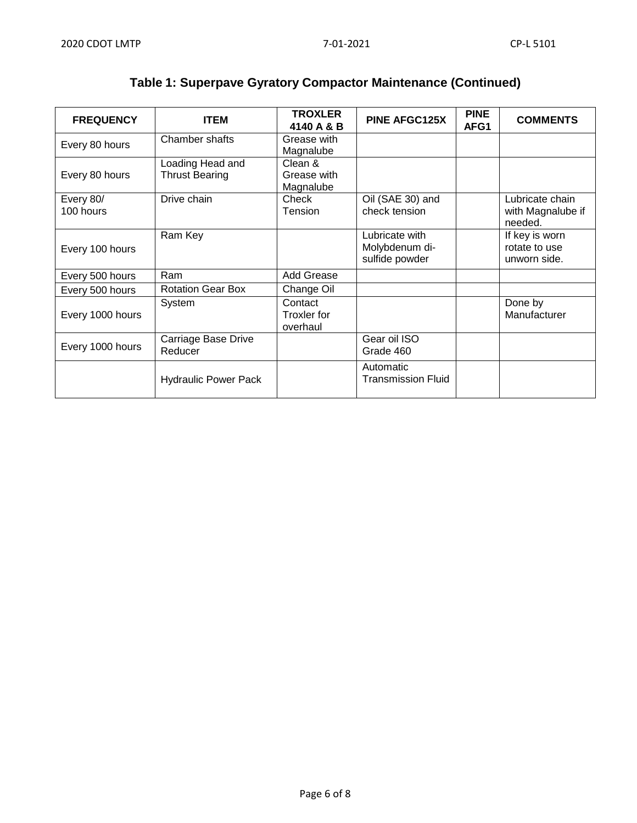| <b>FREQUENCY</b>       | <b>ITEM</b>                               | <b>TROXLER</b><br>4140 A & B              | <b>PINE AFGC125X</b>                               | <b>PINE</b><br>AFG1 | <b>COMMENTS</b>                                 |
|------------------------|-------------------------------------------|-------------------------------------------|----------------------------------------------------|---------------------|-------------------------------------------------|
| Every 80 hours         | Chamber shafts                            | Grease with<br>Magnalube                  |                                                    |                     |                                                 |
| Every 80 hours         | Loading Head and<br><b>Thrust Bearing</b> | Clean &<br>Grease with<br>Magnalube       |                                                    |                     |                                                 |
| Every 80/<br>100 hours | Drive chain                               | Check<br><b>Tension</b>                   | Oil (SAE 30) and<br>check tension                  |                     | Lubricate chain<br>with Magnalube if<br>needed. |
| Every 100 hours        | Ram Key                                   |                                           | Lubricate with<br>Molybdenum di-<br>sulfide powder |                     | If key is worn<br>rotate to use<br>unworn side. |
| Every 500 hours        | Ram                                       | <b>Add Grease</b>                         |                                                    |                     |                                                 |
| Every 500 hours        | <b>Rotation Gear Box</b>                  | Change Oil                                |                                                    |                     |                                                 |
| Every 1000 hours       | System                                    | Contact<br><b>Troxler</b> for<br>overhaul |                                                    |                     | Done by<br>Manufacturer                         |
| Every 1000 hours       | Carriage Base Drive<br>Reducer            |                                           | Gear oil ISO<br>Grade 460                          |                     |                                                 |
|                        | <b>Hydraulic Power Pack</b>               |                                           | Automatic<br><b>Transmission Fluid</b>             |                     |                                                 |

# **Table 1: Superpave Gyratory Compactor Maintenance (Continued)**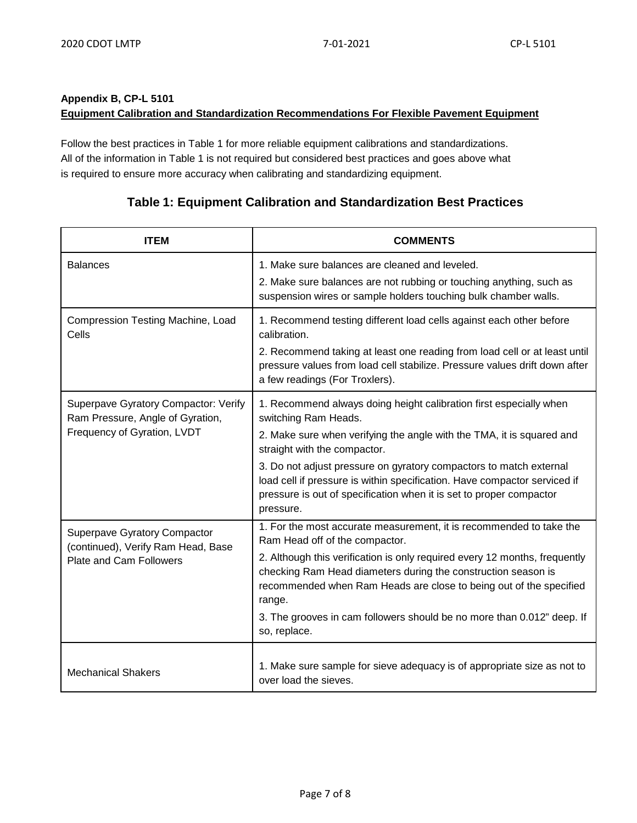# **Appendix B, CP-L 5101**

### **Equipment Calibration and Standardization Recommendations For Flexible Pavement Equipment**

Follow the best practices in Table 1 for more reliable equipment calibrations and standardizations. All of the information in Table 1 is not required but considered best practices and goes above what is required to ensure more accuracy when calibrating and standardizing equipment.

## **Table 1: Equipment Calibration and Standardization Best Practices**

| <b>ITEM</b>                                                                                                 | <b>COMMENTS</b>                                                                                                                                                                                                                                                                                                                                                                                                                            |
|-------------------------------------------------------------------------------------------------------------|--------------------------------------------------------------------------------------------------------------------------------------------------------------------------------------------------------------------------------------------------------------------------------------------------------------------------------------------------------------------------------------------------------------------------------------------|
| <b>Balances</b>                                                                                             | 1. Make sure balances are cleaned and leveled.<br>2. Make sure balances are not rubbing or touching anything, such as<br>suspension wires or sample holders touching bulk chamber walls.                                                                                                                                                                                                                                                   |
| Compression Testing Machine, Load<br>Cells                                                                  | 1. Recommend testing different load cells against each other before<br>calibration.<br>2. Recommend taking at least one reading from load cell or at least until<br>pressure values from load cell stabilize. Pressure values drift down after<br>a few readings (For Troxlers).                                                                                                                                                           |
| Superpave Gyratory Compactor: Verify<br>Ram Pressure, Angle of Gyration,<br>Frequency of Gyration, LVDT     | 1. Recommend always doing height calibration first especially when<br>switching Ram Heads.<br>2. Make sure when verifying the angle with the TMA, it is squared and<br>straight with the compactor.<br>3. Do not adjust pressure on gyratory compactors to match external<br>load cell if pressure is within specification. Have compactor serviced if<br>pressure is out of specification when it is set to proper compactor<br>pressure. |
| <b>Superpave Gyratory Compactor</b><br>(continued), Verify Ram Head, Base<br><b>Plate and Cam Followers</b> | 1. For the most accurate measurement, it is recommended to take the<br>Ram Head off of the compactor.<br>2. Although this verification is only required every 12 months, frequently<br>checking Ram Head diameters during the construction season is<br>recommended when Ram Heads are close to being out of the specified<br>range.<br>3. The grooves in cam followers should be no more than 0.012" deep. If<br>so, replace.             |
| <b>Mechanical Shakers</b>                                                                                   | 1. Make sure sample for sieve adequacy is of appropriate size as not to<br>over load the sieves.                                                                                                                                                                                                                                                                                                                                           |